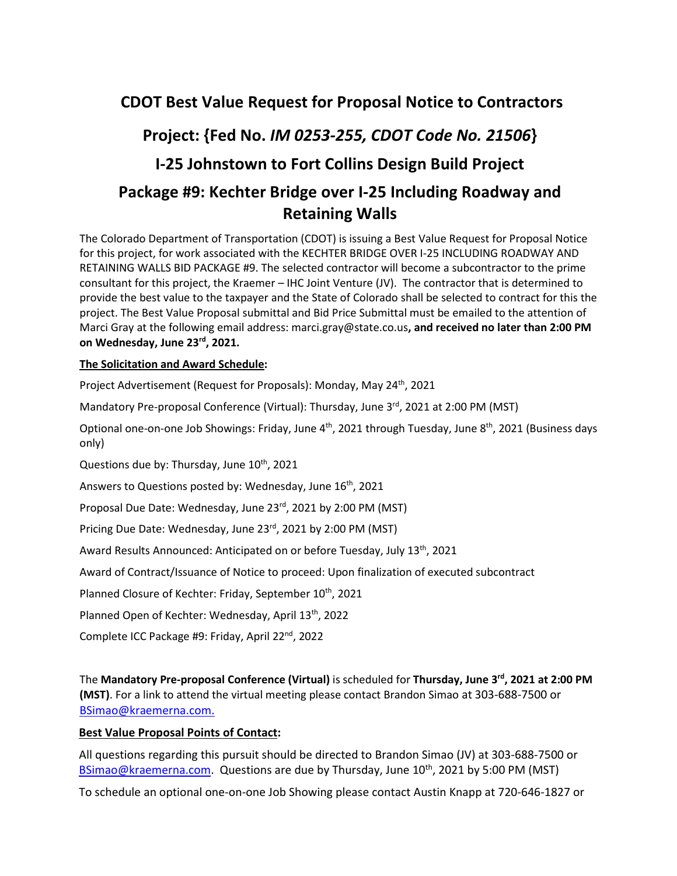# **CDOT Best Value Request for Proposal Notice to Contractors**

# **Project: {Fed No.** *IM 0253-255, CDOT Code No. 21506***}**

# **I-25 Johnstown to Fort Collins Design Build Project**

# **Package #9: Kechter Bridge over I-25 Including Roadway and Retaining Walls**

The Colorado Department of Transportation (CDOT) is issuing a Best Value Request for Proposal Notice for this project, for work associated with the KECHTER BRIDGE OVER I-25 INCLUDING ROADWAY AND RETAINING WALLS BID PACKAGE #9. The selected contractor will become a subcontractor to the prime consultant for this project, the Kraemer – IHC Joint Venture (JV). The contractor that is determined to provide the best value to the taxpayer and the State of Colorado shall be selected to contract for this the project. The Best Value Proposal submittal and Bid Price Submittal must be emailed to the attention of Marci Gray at the following email address: marci.gray@state.co.us**, and received no later than 2:00 PM on Wednesday, June 23rd, 2021.**

### **The Solicitation and Award Schedule:**

Project Advertisement (Request for Proposals): Monday, May 24<sup>th</sup>, 2021

Mandatory Pre-proposal Conference (Virtual): Thursday, June 3<sup>rd</sup>, 2021 at 2:00 PM (MST)

Optional one-on-one Job Showings: Friday, June 4<sup>th</sup>, 2021 through Tuesday, June 8<sup>th</sup>, 2021 (Business days only)

Questions due by: Thursday, June  $10^{th}$ , 2021

Answers to Questions posted by: Wednesday, June 16<sup>th</sup>, 2021

Proposal Due Date: Wednesday, June 23rd, 2021 by 2:00 PM (MST)

Pricing Due Date: Wednesday, June 23rd, 2021 by 2:00 PM (MST)

Award Results Announced: Anticipated on or before Tuesday, July 13<sup>th</sup>, 2021

Award of Contract/Issuance of Notice to proceed: Upon finalization of executed subcontract

Planned Closure of Kechter: Friday, September 10<sup>th</sup>, 2021

Planned Open of Kechter: Wednesday, April 13<sup>th</sup>, 2022

Complete ICC Package #9: Friday, April 22nd, 2022

The **Mandatory Pre-proposal Conference (Virtual)** is scheduled for **Thursday, June 3rd, 2021 at 2:00 PM (MST)**. For a link to attend the virtual meeting please contact Brandon Simao at 303-688-7500 or BSimao@kraemerna.com.

### **Best Value Proposal Points of Contact:**

All questions regarding this pursuit should be directed to Brandon Simao (JV) at 303-688-7500 or BSimao@kraemerna.com. Questions are due by Thursday, June  $10^{th}$ , 2021 by 5:00 PM (MST)

To schedule an optional one-on-one Job Showing please contact Austin Knapp at 720-646-1827 or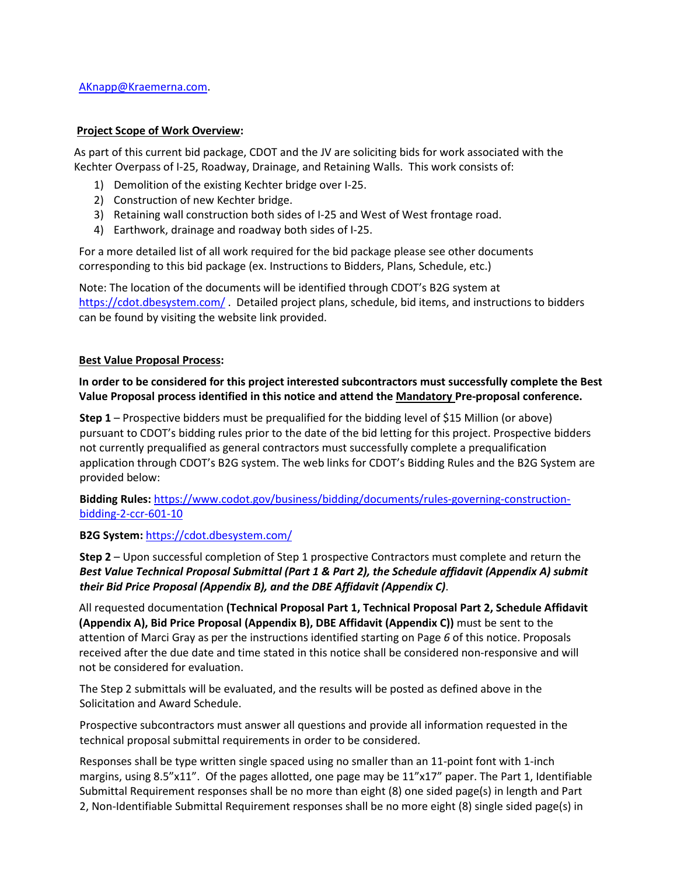### **Project Scope of Work Overview:**

As part of this current bid package, CDOT and the JV are soliciting bids for work associated with the Kechter Overpass of I-25, Roadway, Drainage, and Retaining Walls. This work consists of:

- 1) Demolition of the existing Kechter bridge over I-25.
- 2) Construction of new Kechter bridge.
- 3) Retaining wall construction both sides of I-25 and West of West frontage road.
- 4) Earthwork, drainage and roadway both sides of I-25.

For a more detailed list of all work required for the bid package please see other documents corresponding to this bid package (ex. Instructions to Bidders, Plans, Schedule, etc.)

Note: The location of the documents will be identified through CDOT's B2G system at https://cdot.dbesystem.com/ . Detailed project plans, schedule, bid items, and instructions to bidders can be found by visiting the website link provided.

### **Best Value Proposal Process:**

### **In order to be considered for this project interested subcontractors must successfully complete the Best Value Proposal process identified in this notice and attend the Mandatory Pre-proposal conference.**

**Step 1** – Prospective bidders must be prequalified for the bidding level of \$15 Million (or above) pursuant to CDOT's bidding rules prior to the date of the bid letting for this project. Prospective bidders not currently prequalified as general contractors must successfully complete a prequalification application through CDOT's B2G system. The web links for CDOT's Bidding Rules and the B2G System are provided below:

**Bidding Rules:** https://www.codot.gov/business/bidding/documents/rules-governing-constructionbidding-2-ccr-601-10

### **B2G System:** https://cdot.dbesystem.com/

**Step 2** – Upon successful completion of Step 1 prospective Contractors must complete and return the *Best Value Technical Proposal Submittal (Part 1 & Part 2), the Schedule affidavit (Appendix A) submit their Bid Price Proposal (Appendix B), and the DBE Affidavit (Appendix C)*.

All requested documentation **(Technical Proposal Part 1, Technical Proposal Part 2, Schedule Affidavit (Appendix A), Bid Price Proposal (Appendix B), DBE Affidavit (Appendix C))** must be sent to the attention of Marci Gray as per the instructions identified starting on Page *6* of this notice. Proposals received after the due date and time stated in this notice shall be considered non-responsive and will not be considered for evaluation.

The Step 2 submittals will be evaluated, and the results will be posted as defined above in the Solicitation and Award Schedule.

Prospective subcontractors must answer all questions and provide all information requested in the technical proposal submittal requirements in order to be considered.

Responses shall be type written single spaced using no smaller than an 11-point font with 1-inch margins, using 8.5"x11". Of the pages allotted, one page may be 11"x17" paper. The Part 1, Identifiable Submittal Requirement responses shall be no more than eight (8) one sided page(s) in length and Part 2, Non-Identifiable Submittal Requirement responses shall be no more eight (8) single sided page(s) in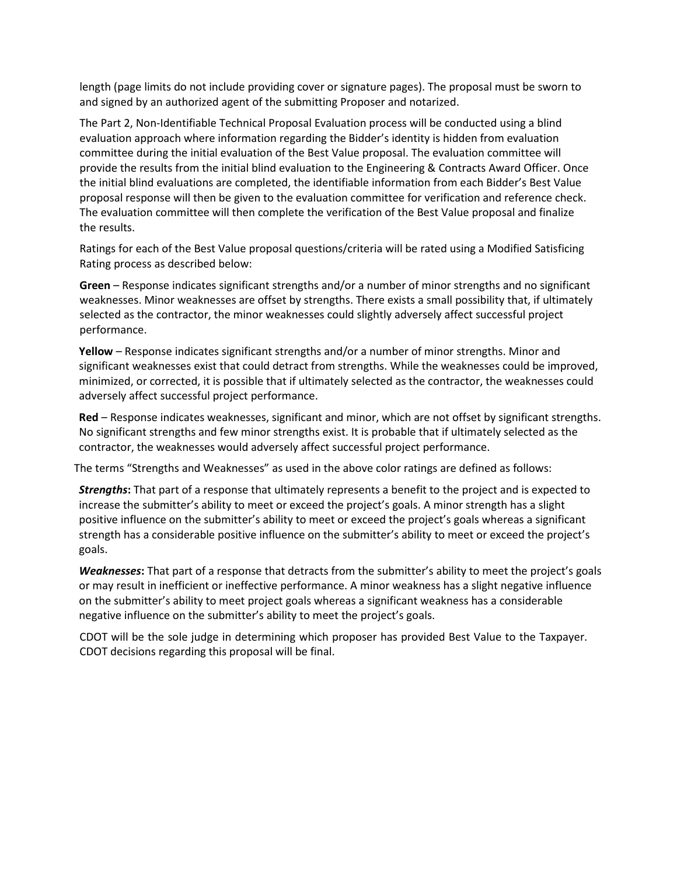length (page limits do not include providing cover or signature pages). The proposal must be sworn to and signed by an authorized agent of the submitting Proposer and notarized.

The Part 2, Non-Identifiable Technical Proposal Evaluation process will be conducted using a blind evaluation approach where information regarding the Bidder's identity is hidden from evaluation committee during the initial evaluation of the Best Value proposal. The evaluation committee will provide the results from the initial blind evaluation to the Engineering & Contracts Award Officer. Once the initial blind evaluations are completed, the identifiable information from each Bidder's Best Value proposal response will then be given to the evaluation committee for verification and reference check. The evaluation committee will then complete the verification of the Best Value proposal and finalize the results.

Ratings for each of the Best Value proposal questions/criteria will be rated using a Modified Satisficing Rating process as described below:

**Green** – Response indicates significant strengths and/or a number of minor strengths and no significant weaknesses. Minor weaknesses are offset by strengths. There exists a small possibility that, if ultimately selected as the contractor, the minor weaknesses could slightly adversely affect successful project performance.

**Yellow** – Response indicates significant strengths and/or a number of minor strengths. Minor and significant weaknesses exist that could detract from strengths. While the weaknesses could be improved, minimized, or corrected, it is possible that if ultimately selected as the contractor, the weaknesses could adversely affect successful project performance.

**Red** – Response indicates weaknesses, significant and minor, which are not offset by significant strengths. No significant strengths and few minor strengths exist. It is probable that if ultimately selected as the contractor, the weaknesses would adversely affect successful project performance.

The terms "Strengths and Weaknesses" as used in the above color ratings are defined as follows:

*Strengths***:** That part of a response that ultimately represents a benefit to the project and is expected to increase the submitter's ability to meet or exceed the project's goals. A minor strength has a slight positive influence on the submitter's ability to meet or exceed the project's goals whereas a significant strength has a considerable positive influence on the submitter's ability to meet or exceed the project's goals.

*Weaknesses***:** That part of a response that detracts from the submitter's ability to meet the project's goals or may result in inefficient or ineffective performance. A minor weakness has a slight negative influence on the submitter's ability to meet project goals whereas a significant weakness has a considerable negative influence on the submitter's ability to meet the project's goals.

CDOT will be the sole judge in determining which proposer has provided Best Value to the Taxpayer. CDOT decisions regarding this proposal will be final.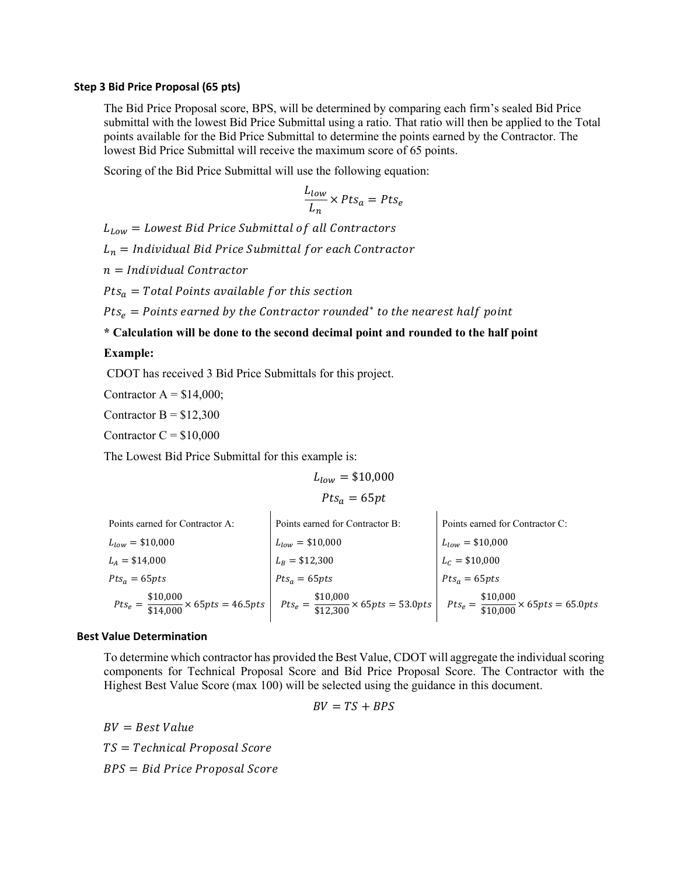#### **Step 3 Bid Price Proposal (65 pts)**

The Bid Price Proposal score, BPS, will be determined by comparing each firm's sealed Bid Price submittal with the lowest Bid Price Submittal using a ratio. That ratio will then be applied to the Total points available for the Bid Price Submittal to determine the points earned by the Contractor. The lowest Bid Price Submittal will receive the maximum score of 65 points.

Scoring of the Bid Price Submittal will use the following equation:

$$
\frac{L_{low}}{L_n} \times Pts_a = Pts_e
$$

 $L_{Low}$  = Lowest Bid Price Submittal of all Contractors

 $L_n =$  Individual Bid Price Submittal for each Contractor

 $n =$  Individual Contractor

Pts $_a=$  Total Points available for this section

 $Pts_e = Points$  earned by the Contractor rounded $^*$  to the nearest half point

**\* Calculation will be done to the second decimal point and rounded to the half point** 

### **Example:**

CDOT has received 3 Bid Price Submittals for this project.

Contractor  $A = $14,000$ ;

Contractor  $B = $12,300$ 

Contractor  $C = $10,000$ 

The Lowest Bid Price Submittal for this example is:

$$
L_{low} = \$10,000
$$

$$
Pts_a = 65pt
$$

| Points earned for Contractor A: | Points earned for Contractor B:                                                                                                                                            | Points earned for Contractor C: |
|---------------------------------|----------------------------------------------------------------------------------------------------------------------------------------------------------------------------|---------------------------------|
| $L_{low}$ = \$10,000            | $L_{low} = $10,000$                                                                                                                                                        | $L_{low} = $10,000$             |
| $L_A = $14,000$                 | $L_B = $12,300$                                                                                                                                                            | $L_c = $10,000$                 |
| $Pts_a = 65pts$                 | $Pts_a = 65pts$                                                                                                                                                            | $Pts_a = 65pts$                 |
|                                 | $Pts_e = \frac{$10,000}{$14,000} \times 65pts = 46.5pts$ $Pts_e = \frac{$10,000}{$12,300} \times 65pts = 53.0pts$ $Pts_e = \frac{$10,000}{$10,000} \times 65pts = 65.0pts$ |                                 |

#### **Best Value Determination**

To determine which contractor has provided the Best Value, CDOT will aggregate the individual scoring components for Technical Proposal Score and Bid Price Proposal Score. The Contractor with the Highest Best Value Score (max 100) will be selected using the guidance in this document.

$$
BV = TS + BPS
$$

 $BV = Best Value$  $TS = Technical$  Proposal Score  $BPS = Bid$  Price Proposal Score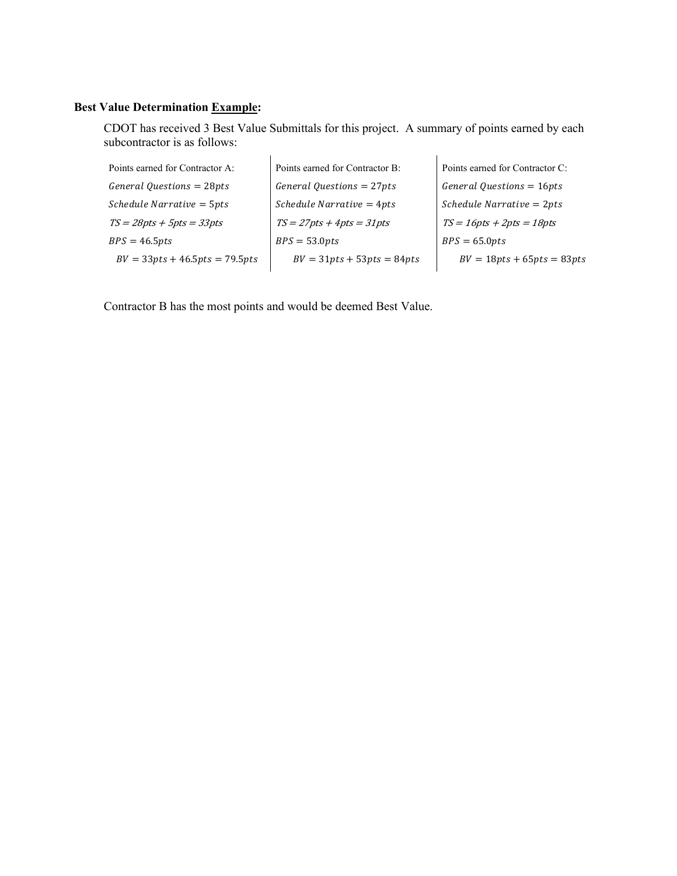### **Best Value Determination Example:**

CDOT has received 3 Best Value Submittals for this project. A summary of points earned by each subcontractor is as follows:

| Points earned for Contractor A:  | Points earned for Contractor B: | Points earned for Contractor C: |
|----------------------------------|---------------------------------|---------------------------------|
| $General$ Questions = 28pts      | General Questions = $27pts$     | General Questions = $16pts$     |
| Schedule Narrative = 5pts        | $S$ chedule Narrative = 4pts    | $S$ chedule Narrative = $2pts$  |
| $TS = 28pts + 5pts = 33pts$      | $TS = 27pts + 4pts = 31pts$     | $TS = 16pts + 2pts = 18pts$     |
| $BPS = 46.5pts$                  | $BPS = 53.0pts$                 | $BPS = 65.0pts$                 |
| $BV = 33pts + 46.5pts = 79.5pts$ | $BV = 31pts + 53pts = 84pts$    | $BV = 18pts + 65pts = 83pts$    |
|                                  |                                 |                                 |

Contractor B has the most points and would be deemed Best Value.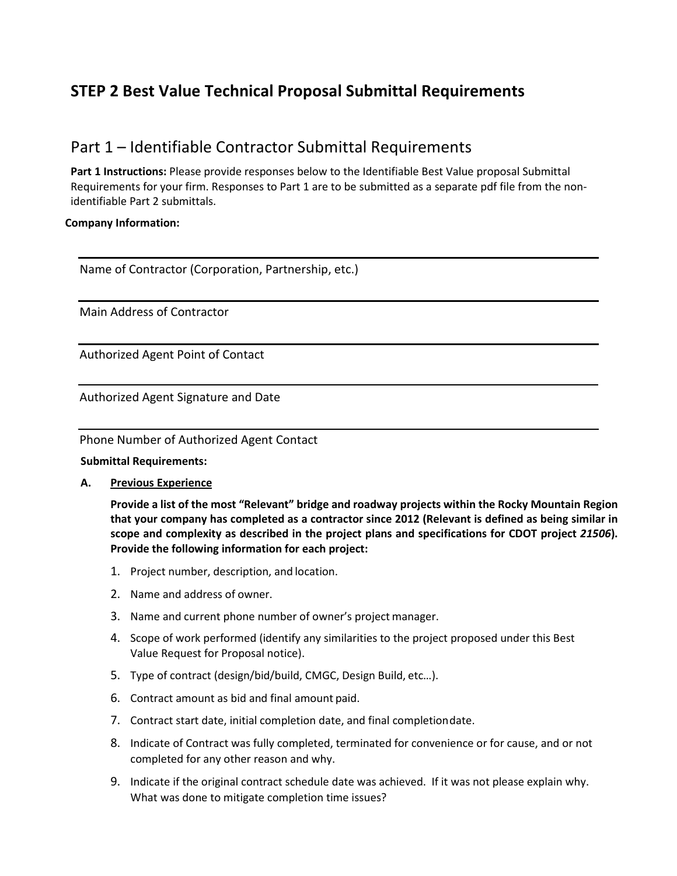# **STEP 2 Best Value Technical Proposal Submittal Requirements**

### Part 1 – Identifiable Contractor Submittal Requirements

**Part 1 Instructions:** Please provide responses below to the Identifiable Best Value proposal Submittal Requirements for your firm. Responses to Part 1 are to be submitted as a separate pdf file from the nonidentifiable Part 2 submittals.

### **Company Information:**

Name of Contractor (Corporation, Partnership, etc.)

Main Address of Contractor

Authorized Agent Point of Contact

Authorized Agent Signature and Date

Phone Number of Authorized Agent Contact

### **Submittal Requirements:**

**A. Previous Experience** 

**Provide a list of the most "Relevant" bridge and roadway projects within the Rocky Mountain Region that your company has completed as a contractor since 2012 (Relevant is defined as being similar in scope and complexity as described in the project plans and specifications for CDOT project** *21506***). Provide the following information for each project:**

- 1. Project number, description, and location.
- 2. Name and address of owner.
- 3. Name and current phone number of owner's project manager.
- 4. Scope of work performed (identify any similarities to the project proposed under this Best Value Request for Proposal notice).
- 5. Type of contract (design/bid/build, CMGC, Design Build, etc…).
- 6. Contract amount as bid and final amount paid.
- 7. Contract start date, initial completion date, and final completion date.
- 8. Indicate of Contract was fully completed, terminated for convenience or for cause, and or not completed for any other reason and why.
- 9. Indicate if the original contract schedule date was achieved. If it was not please explain why. What was done to mitigate completion time issues?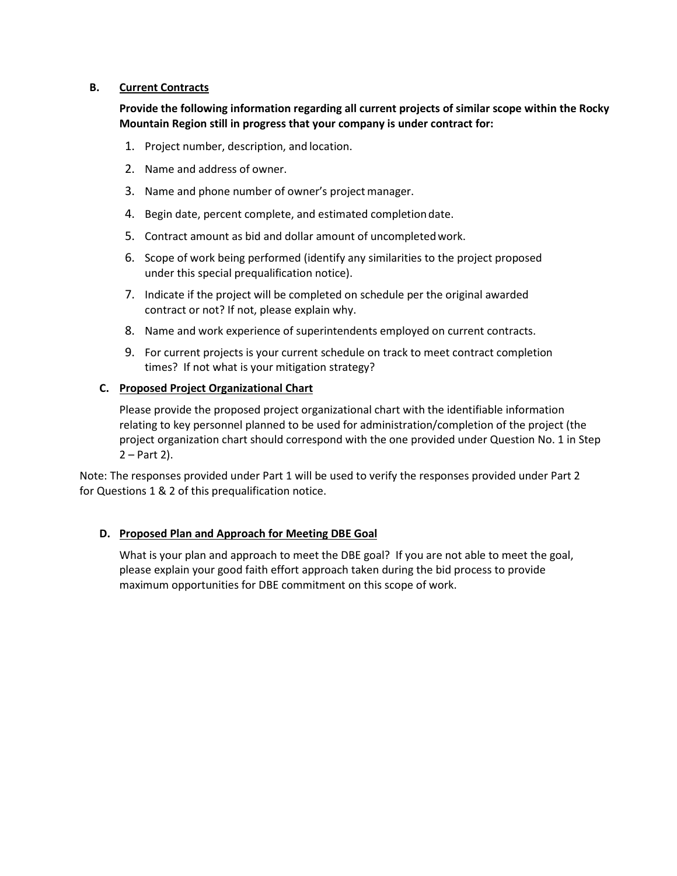### **B. Current Contracts**

**Provide the following information regarding all current projects of similar scope within the Rocky Mountain Region still in progress that your company is under contract for:** 

- 1. Project number, description, and location.
- 2. Name and address of owner.
- 3. Name and phone number of owner's project manager.
- 4. Begin date, percent complete, and estimated completion date.
- 5. Contract amount as bid and dollar amount of uncompleted work.
- 6. Scope of work being performed (identify any similarities to the project proposed under this special prequalification notice).
- 7. Indicate if the project will be completed on schedule per the original awarded contract or not? If not, please explain why.
- 8. Name and work experience of superintendents employed on current contracts.
- 9. For current projects is your current schedule on track to meet contract completion times? If not what is your mitigation strategy?

### **C. Proposed Project Organizational Chart**

Please provide the proposed project organizational chart with the identifiable information relating to key personnel planned to be used for administration/completion of the project (the project organization chart should correspond with the one provided under Question No. 1 in Step 2 – Part 2).

Note: The responses provided under Part 1 will be used to verify the responses provided under Part 2 for Questions 1 & 2 of this prequalification notice.

### **D. Proposed Plan and Approach for Meeting DBE Goal**

What is your plan and approach to meet the DBE goal? If you are not able to meet the goal, please explain your good faith effort approach taken during the bid process to provide maximum opportunities for DBE commitment on this scope of work.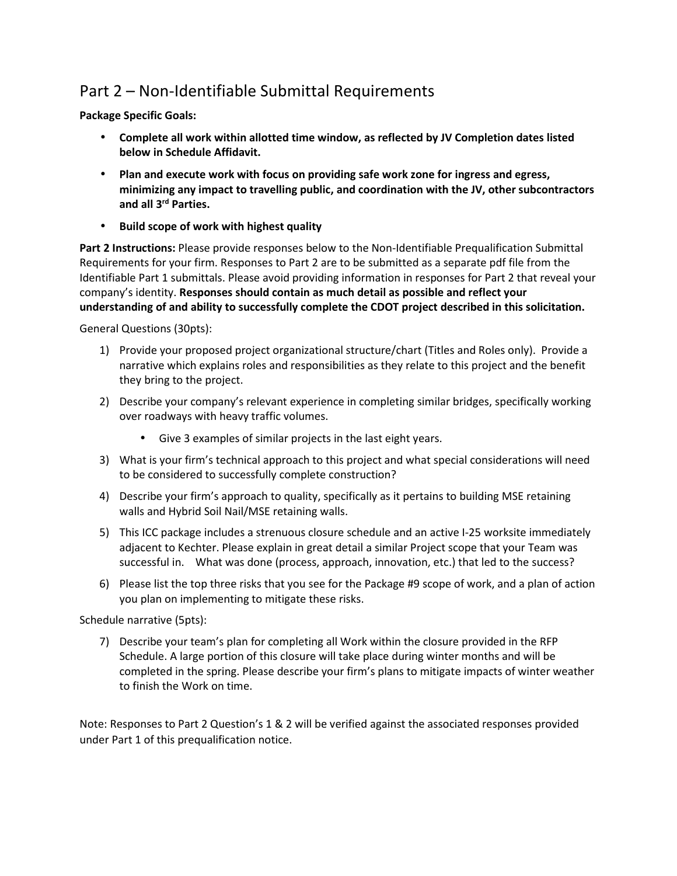# Part 2 – Non-Identifiable Submittal Requirements

**Package Specific Goals:** 

- **Complete all work within allotted time window, as reflected by JV Completion dates listed below in Schedule Affidavit.**
- **Plan and execute work with focus on providing safe work zone for ingress and egress, minimizing any impact to travelling public, and coordination with the JV, other subcontractors and all 3rd Parties.**
- **Build scope of work with highest quality**

**Part 2 Instructions:** Please provide responses below to the Non-Identifiable Prequalification Submittal Requirements for your firm. Responses to Part 2 are to be submitted as a separate pdf file from the Identifiable Part 1 submittals. Please avoid providing information in responses for Part 2 that reveal your company's identity. **Responses should contain as much detail as possible and reflect your understanding of and ability to successfully complete the CDOT project described in this solicitation.**

General Questions (30pts):

- 1) Provide your proposed project organizational structure/chart (Titles and Roles only). Provide a narrative which explains roles and responsibilities as they relate to this project and the benefit they bring to the project.
- 2) Describe your company's relevant experience in completing similar bridges, specifically working over roadways with heavy traffic volumes.
	- Give 3 examples of similar projects in the last eight years.
- 3) What is your firm's technical approach to this project and what special considerations will need to be considered to successfully complete construction?
- 4) Describe your firm's approach to quality, specifically as it pertains to building MSE retaining walls and Hybrid Soil Nail/MSE retaining walls.
- 5) This ICC package includes a strenuous closure schedule and an active I-25 worksite immediately adjacent to Kechter. Please explain in great detail a similar Project scope that your Team was successful in. What was done (process, approach, innovation, etc.) that led to the success?
- 6) Please list the top three risks that you see for the Package #9 scope of work, and a plan of action you plan on implementing to mitigate these risks.

Schedule narrative (5pts):

7) Describe your team's plan for completing all Work within the closure provided in the RFP Schedule. A large portion of this closure will take place during winter months and will be completed in the spring. Please describe your firm's plans to mitigate impacts of winter weather to finish the Work on time.

Note: Responses to Part 2 Question's 1 & 2 will be verified against the associated responses provided under Part 1 of this prequalification notice.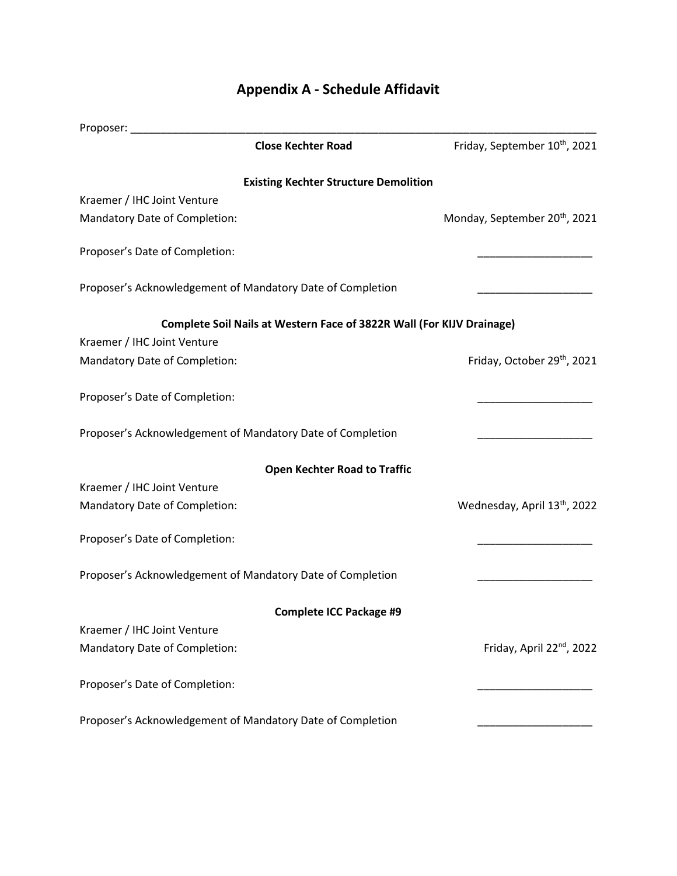# Proposer: \_\_\_\_\_\_\_\_\_\_\_\_\_\_\_\_\_\_\_\_\_\_\_\_\_\_\_\_\_\_\_\_\_\_\_\_\_\_\_\_\_\_\_\_\_\_\_\_\_\_\_\_\_\_\_\_\_\_\_\_\_\_\_\_\_\_\_\_\_\_\_\_\_\_\_\_\_ **Close Kechter Road** Friday, September 10<sup>th</sup>, 2021 **Existing Kechter Structure Demolition**  Kraemer / IHC Joint Venture Mandatory Date of Completion: Monday, September 20<sup>th</sup>, 2021 Proposer's Date of Completion: Proposer's Acknowledgement of Mandatory Date of Completion **Complete Soil Nails at Western Face of 3822R Wall (For KIJV Drainage)**  Kraemer / IHC Joint Venture Mandatory Date of Completion: Friday, October 29<sup>th</sup>, 2021 Proposer's Date of Completion: Proposer's Acknowledgement of Mandatory Date of Completion **Open Kechter Road to Traffic**  Kraemer / IHC Joint Venture Mandatory Date of Completion: Wednesday, April 13<sup>th</sup>, 2022 Proposer's Date of Completion: Proposer's Acknowledgement of Mandatory Date of Completion **Complete ICC Package #9**  Kraemer / IHC Joint Venture Mandatory Date of Completion: Friday, April 22<sup>nd</sup>, 2022 Proposer's Date of Completion: Proposer's Acknowledgement of Mandatory Date of Completion

### **Appendix A - Schedule Affidavit**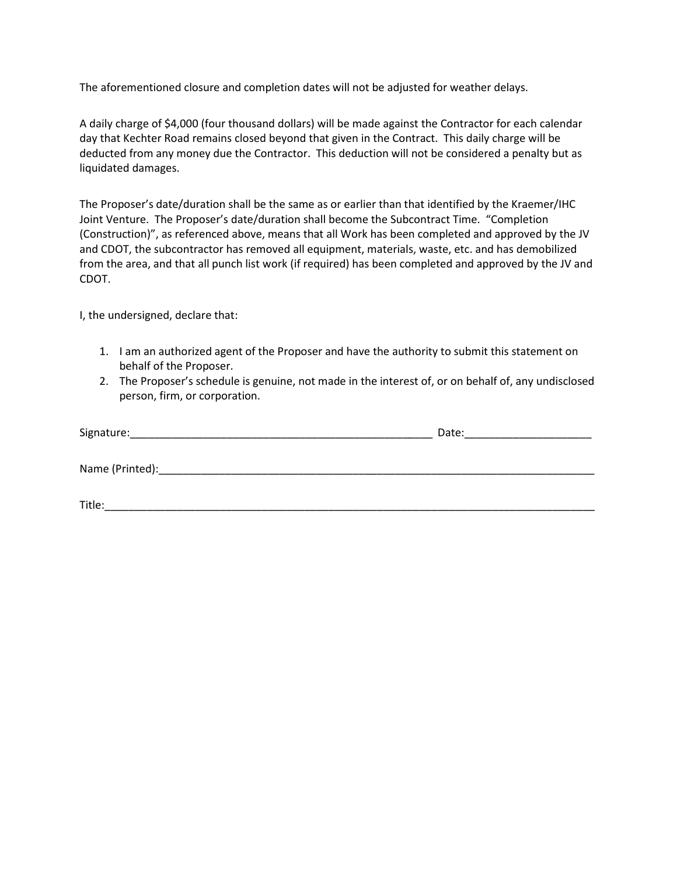The aforementioned closure and completion dates will not be adjusted for weather delays.

A daily charge of \$4,000 (four thousand dollars) will be made against the Contractor for each calendar day that Kechter Road remains closed beyond that given in the Contract. This daily charge will be deducted from any money due the Contractor. This deduction will not be considered a penalty but as liquidated damages.

The Proposer's date/duration shall be the same as or earlier than that identified by the Kraemer/IHC Joint Venture. The Proposer's date/duration shall become the Subcontract Time. "Completion (Construction)", as referenced above, means that all Work has been completed and approved by the JV and CDOT, the subcontractor has removed all equipment, materials, waste, etc. and has demobilized from the area, and that all punch list work (if required) has been completed and approved by the JV and CDOT.

I, the undersigned, declare that:

- 1. I am an authorized agent of the Proposer and have the authority to submit this statement on behalf of the Proposer.
- 2. The Proposer's schedule is genuine, not made in the interest of, or on behalf of, any undisclosed person, firm, or corporation.

| Signature:      | Date: |
|-----------------|-------|
|                 |       |
| Name (Printed): |       |
|                 |       |
| Title:          |       |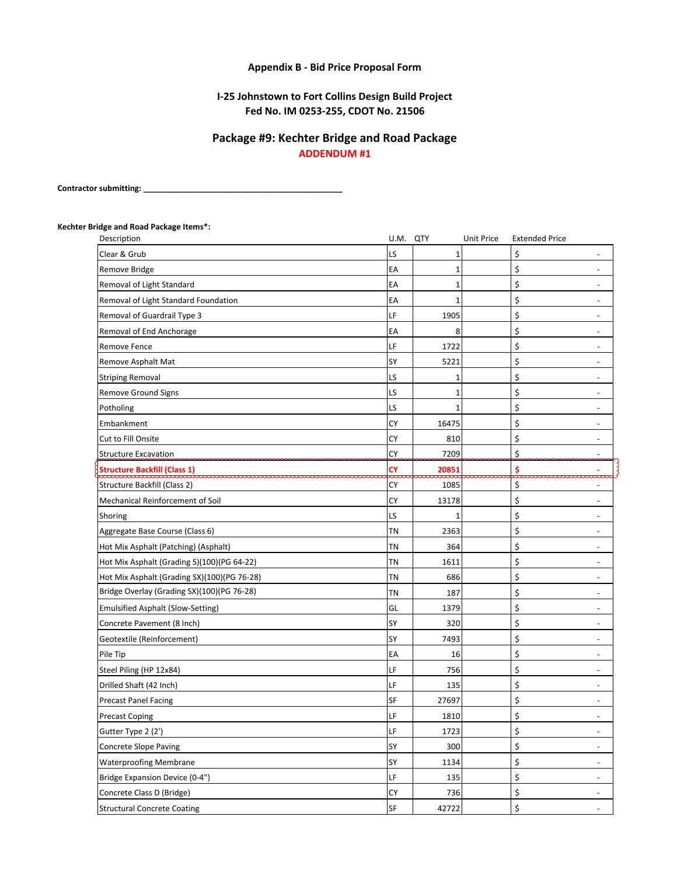### **Appendix B - Bid Price Proposal Form**

### **Fed No. IM 0253-255, CDOT No. 21506 I-25 Johnstown to Fort Collins Design Build Project**

### **Package #9: Kechter Bridge and Road Package ADDENDUM #1**

**Contractor submitting: \_\_\_\_\_\_\_\_\_\_\_\_\_\_\_\_\_\_\_\_\_\_\_\_\_\_\_\_\_\_\_\_\_\_\_\_\_\_\_\_\_\_\_\_\_**

## **Kechter Bridge and Road Package Items\*:**

|           |                                  | <b>Extended Price</b>                                  |                                                                                          |
|-----------|----------------------------------|--------------------------------------------------------|------------------------------------------------------------------------------------------|
| LS        | 1                                | \$                                                     | $\overline{a}$                                                                           |
| EA        | 1                                | \$                                                     | $\overline{\phantom{0}}$                                                                 |
| EA        | 1                                | \$                                                     | $\overline{\phantom{0}}$                                                                 |
| EA        | $\mathbf{1}$                     | \$                                                     | $\overline{\phantom{a}}$                                                                 |
| LF        | 1905                             | \$                                                     | $\overline{\phantom{a}}$                                                                 |
| EA        | 8                                | \$                                                     | $\overline{\phantom{a}}$                                                                 |
| LF        | 1722                             | \$                                                     | $\overline{\phantom{a}}$                                                                 |
| SY        | 5221                             | \$                                                     | $\overline{\phantom{a}}$                                                                 |
| LS        | 1                                | \$                                                     | $\overline{\phantom{a}}$                                                                 |
| LS        | 1                                | \$                                                     | $\overline{\phantom{0}}$                                                                 |
| LS        | 1                                | \$                                                     | $\overline{a}$                                                                           |
| <b>CY</b> | 16475                            | \$                                                     | $\overline{\phantom{a}}$                                                                 |
| СY        | 810                              | \$                                                     | $\overline{\phantom{a}}$                                                                 |
| CY        | 7209                             | \$.                                                    |                                                                                          |
| <b>CY</b> | 20851                            | \$                                                     | $\sim$                                                                                   |
| CY        | 1085                             | \$                                                     |                                                                                          |
| <b>CY</b> | 13178                            | \$                                                     | $\overline{a}$                                                                           |
| LS        |                                  | \$                                                     | $\overline{\phantom{a}}$                                                                 |
| <b>TN</b> | 2363                             | \$                                                     | $\overline{\phantom{0}}$                                                                 |
| TN        | 364                              | \$                                                     | $\overline{\phantom{a}}$                                                                 |
| TN        | 1611                             | \$                                                     | $\overline{\phantom{0}}$                                                                 |
| <b>TN</b> | 686                              | \$                                                     | $\overline{\phantom{0}}$                                                                 |
| <b>TN</b> | 187                              | \$                                                     | $\blacksquare$                                                                           |
| GL        | 1379                             |                                                        |                                                                                          |
| SY        | 320                              |                                                        | $\overline{\phantom{0}}$                                                                 |
| SY        | 7493                             | \$                                                     | $\overline{\phantom{a}}$                                                                 |
| EA        | 16                               |                                                        | $\overline{\phantom{0}}$                                                                 |
| LF        | 756                              |                                                        | $\overline{\phantom{0}}$                                                                 |
| LF        | 135                              |                                                        | $\overline{\phantom{a}}$                                                                 |
| SF        | 27697                            |                                                        |                                                                                          |
| LF        | 1810                             |                                                        | $\overline{\phantom{a}}$                                                                 |
|           |                                  |                                                        | $\overline{\phantom{a}}$                                                                 |
|           |                                  |                                                        | $\blacksquare$                                                                           |
|           |                                  |                                                        | $\overline{\phantom{a}}$                                                                 |
|           |                                  |                                                        | $\overline{\phantom{a}}$                                                                 |
|           |                                  |                                                        | $\overline{\phantom{a}}$                                                                 |
|           |                                  |                                                        | $\overline{\phantom{a}}$                                                                 |
|           | LF<br>SY<br>SY<br>LF<br>СY<br>SF | U.M. QTY<br>1723<br>300<br>1134<br>135<br>736<br>42722 | Unit Price<br>\$<br>\$<br>\$<br>\$<br>\$<br>\$<br>\$<br>\$<br>\$<br>\$<br>\$<br>\$<br>\$ |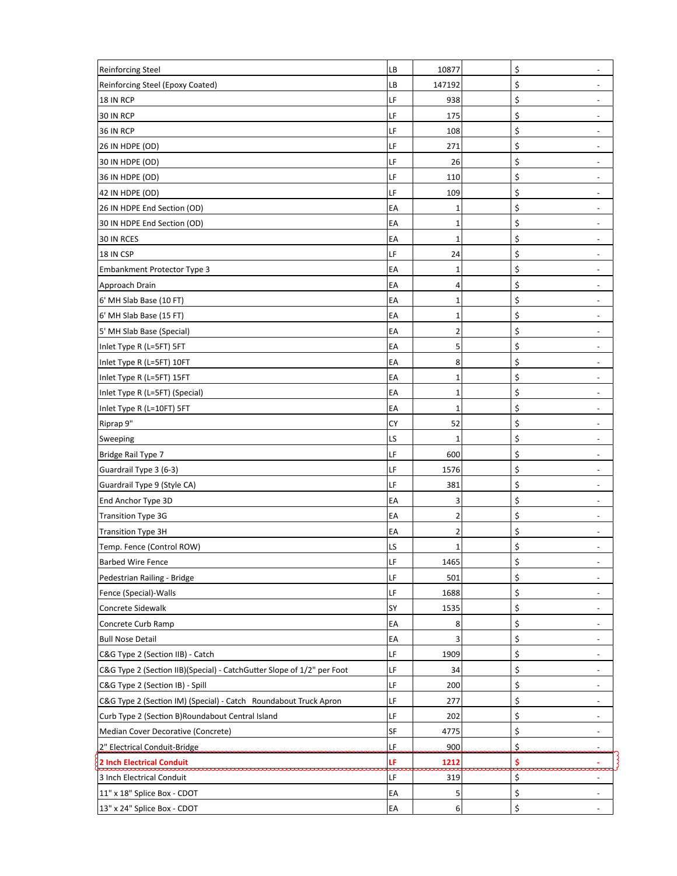| <b>Reinforcing Steel</b>                                               | LВ | 10877       | \$  | $\overline{\phantom{a}}$ |
|------------------------------------------------------------------------|----|-------------|-----|--------------------------|
| Reinforcing Steel (Epoxy Coated)                                       | LВ | 147192      | \$  | $\overline{\phantom{a}}$ |
| 18 IN RCP                                                              | LF | 938         | \$  | $\overline{\phantom{a}}$ |
| 30 IN RCP                                                              | LF | 175         | \$  | $\overline{\phantom{a}}$ |
| 36 IN RCP                                                              | LF | 108         | \$  | $\overline{\phantom{a}}$ |
| 26 IN HDPE (OD)                                                        | LF | 271         | \$  | $\overline{\phantom{a}}$ |
| 30 IN HDPE (OD)                                                        | LF | 26          | \$  | $\overline{\phantom{a}}$ |
| 36 IN HDPE (OD)                                                        | LF | 110         | \$  | $\overline{\phantom{a}}$ |
| 42 IN HDPE (OD)                                                        | LF | 109         | \$  |                          |
| 26 IN HDPE End Section (OD)                                            | EA | 1           | \$  | $\overline{\phantom{a}}$ |
| 30 IN HDPE End Section (OD)                                            | EA | 1           | \$  |                          |
| 30 IN RCES                                                             | EA | 1           | \$  | $\overline{\phantom{a}}$ |
| 18 IN CSP                                                              | LF | 24          | \$  | $\overline{\phantom{a}}$ |
| Embankment Protector Type 3                                            | EA | 1           | \$  |                          |
| Approach Drain                                                         | EA | 4           | \$  | $\overline{\phantom{a}}$ |
| 6' MH Slab Base (10 FT)                                                | EA | 1           | \$  | $\overline{\phantom{a}}$ |
| 6' MH Slab Base (15 FT)                                                | EA | 1           | \$  | $\overline{\phantom{m}}$ |
| 5' MH Slab Base (Special)                                              | EA | 2           | \$  | $\overline{\phantom{a}}$ |
| Inlet Type R (L=5FT) 5FT                                               | EA | 5           | \$  | $\overline{\phantom{a}}$ |
| Inlet Type R (L=5FT) 10FT                                              | EA | 8           | \$  | $\overline{\phantom{a}}$ |
| Inlet Type R (L=5FT) 15FT                                              | EA | 1           | \$  | $\overline{\phantom{a}}$ |
| Inlet Type R (L=5FT) (Special)                                         | EA | 1           | \$  | $\overline{\phantom{a}}$ |
| Inlet Type R (L=10FT) 5FT                                              | EA | 1           | \$  | $\overline{\phantom{a}}$ |
| Riprap 9"                                                              | CY | 52          | \$  | $\overline{\phantom{a}}$ |
| Sweeping                                                               | LS | 1           | \$  | $\overline{\phantom{0}}$ |
| Bridge Rail Type 7                                                     | LF | 600         | \$  | $\overline{\phantom{a}}$ |
| Guardrail Type 3 (6-3)                                                 | LF | 1576        | \$  | $\overline{\phantom{a}}$ |
| Guardrail Type 9 (Style CA)                                            | LF | 381         | \$  | $\overline{\phantom{a}}$ |
| End Anchor Type 3D                                                     | EA | 3           | \$  | $\overline{\phantom{0}}$ |
| <b>Transition Type 3G</b>                                              | EA | 2           | \$  | $\overline{\phantom{a}}$ |
| <b>Transition Type 3H</b>                                              | EA | 2           | \$  |                          |
| Temp. Fence (Control ROW)                                              | LS | $\mathbf 1$ | \$  | $\overline{\phantom{a}}$ |
| <b>Barbed Wire Fence</b>                                               | LF | 1465        | \$  | $\overline{\phantom{a}}$ |
| Pedestrian Railing - Bridge                                            | LF | 501         | \$  |                          |
| Fence (Special)-Walls                                                  | LF | 1688        | \$  | $\overline{\phantom{a}}$ |
| Concrete Sidewalk                                                      | SY | 1535        | \$  |                          |
| Concrete Curb Ramp                                                     | EA | 8           | \$  | $\overline{\phantom{a}}$ |
| <b>Bull Nose Detail</b>                                                | EA | 3           | \$  | $\overline{\phantom{a}}$ |
| C&G Type 2 (Section IIB) - Catch                                       | LF | 1909        | \$  | $\overline{\phantom{a}}$ |
| C&G Type 2 (Section IIB)(Special) - CatchGutter Slope of 1/2" per Foot | LF | 34          | \$  | $\overline{\phantom{a}}$ |
| C&G Type 2 (Section IB) - Spill                                        | LF | 200         | \$  | $\overline{\phantom{a}}$ |
| C&G Type 2 (Section IM) (Special) - Catch Roundabout Truck Apron       | LF | 277         | \$  |                          |
| Curb Type 2 (Section B)Roundabout Central Island                       | LF | 202         | \$  | $\overline{\phantom{a}}$ |
| Median Cover Decorative (Concrete)                                     | SF | 4775        | \$  | $\overline{\phantom{a}}$ |
| 2" Electrical Conduit-Bridge                                           | LF | 900         | \$. |                          |
| <b>2 Inch Electrical Conduit</b>                                       | LF | 1212        | \$  |                          |
| 3 Inch Electrical Conduit                                              | LF | 319         | \$  | $\overline{\phantom{0}}$ |
| 11" x 18" Splice Box - CDOT                                            | EA | 5           | \$  | $\overline{\phantom{a}}$ |
| 13" x 24" Splice Box - CDOT                                            | EA | 6           | \$  |                          |
|                                                                        |    |             |     |                          |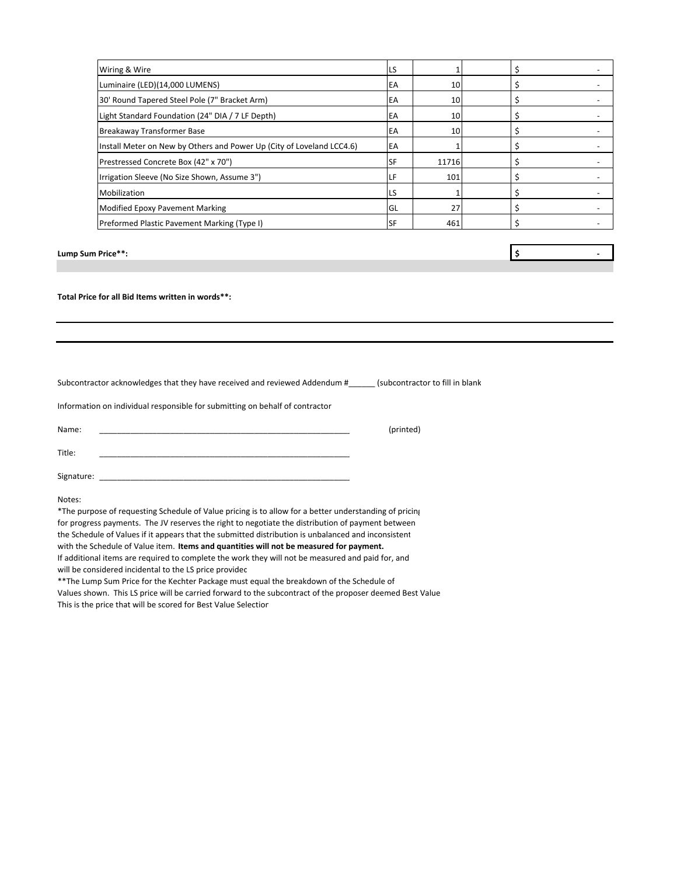| Wiring & Wire                                                         | LS        |       |  |  |
|-----------------------------------------------------------------------|-----------|-------|--|--|
| Luminaire (LED)(14,000 LUMENS)                                        | EA        | 10    |  |  |
| 30' Round Tapered Steel Pole (7" Bracket Arm)                         | EA        | 10    |  |  |
| Light Standard Foundation (24" DIA / 7 LF Depth)                      | EA        | 10    |  |  |
| Breakaway Transformer Base                                            | EA        | 10    |  |  |
| Install Meter on New by Others and Power Up (City of Loveland LCC4.6) | EA        |       |  |  |
| Prestressed Concrete Box (42" x 70")                                  | <b>SF</b> | 11716 |  |  |
| Irrigation Sleeve (No Size Shown, Assume 3")                          | LF        | 101   |  |  |
| Mobilization                                                          | LS        |       |  |  |
| <b>Modified Epoxy Pavement Marking</b>                                | GL        | 27    |  |  |
| Preformed Plastic Pavement Marking (Type I)                           | <b>SF</b> | 461   |  |  |
|                                                                       |           |       |  |  |
|                                                                       |           |       |  |  |

**Lump Sum Price\*\*: \$** 

**Total Price for all Bid Items written in words\*\*:**

Subcontractor acknowledges that they have received and reviewed Addendum #\_\_\_\_\_\_ (subcontractor to fill in blank

Information on individual responsible for submitting on behalf of contractor:

Name: \_\_\_\_\_\_\_\_\_\_\_\_\_\_\_\_\_\_\_\_\_\_\_\_\_\_\_\_\_\_\_\_\_\_\_\_\_\_\_\_\_\_\_\_\_\_\_\_\_\_\_\_\_\_\_\_\_ (printed) Title: \_\_\_\_\_\_\_\_\_\_\_\_\_\_\_\_\_\_\_\_\_\_\_\_\_\_\_\_\_\_\_\_\_\_\_\_\_\_\_\_\_\_\_\_\_\_\_\_\_\_\_\_\_\_\_\_\_ Signature:

Notes:

\*The purpose of requesting Schedule of Value pricing is to allow for a better understanding of pricing for progress payments. The JV reserves the right to negotiate the distribution of payment between the Schedule of Values if it appears that the submitted distribution is unbalanced and inconsistent with the Schedule of Value item. **Items and quantities will not be measured for payment.** If additional items are required to complete the work they will not be measured and paid for, and

will be considered incidental to the LS price provided

\*\*The Lump Sum Price for the Kechter Package must equal the breakdown of the Schedule of

Values shown. This LS price will be carried forward to the subcontract of the proposer deemed Best Value. This is the price that will be scored for Best Value Selection